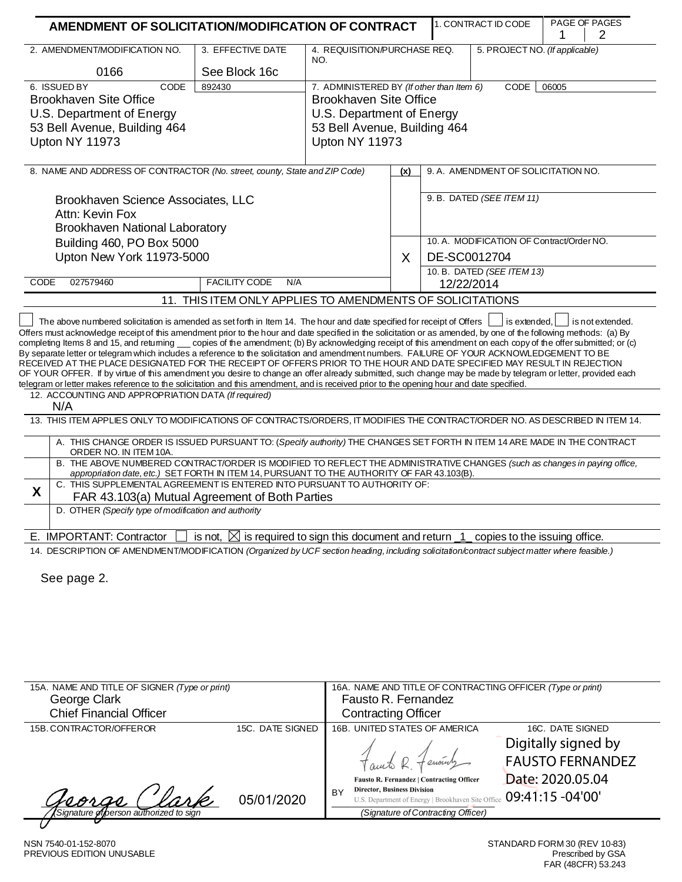| AMENDMENT OF SOLICITATION/MODIFICATION OF CONTRACT                                                                                                                                                                                                                                                                                                                                                                                                                                                                                                                                                                                      |                                                                                |                                                                             |                                                                  |                                          | 1. CONTRACT ID CODE           | PAGE OF PAGES<br>1 | 2 |
|-----------------------------------------------------------------------------------------------------------------------------------------------------------------------------------------------------------------------------------------------------------------------------------------------------------------------------------------------------------------------------------------------------------------------------------------------------------------------------------------------------------------------------------------------------------------------------------------------------------------------------------------|--------------------------------------------------------------------------------|-----------------------------------------------------------------------------|------------------------------------------------------------------|------------------------------------------|-------------------------------|--------------------|---|
| 2. AMENDMENT/MODIFICATION NO.                                                                                                                                                                                                                                                                                                                                                                                                                                                                                                                                                                                                           | 3. EFFECTIVE DATE                                                              | 4. REQUISITION/PURCHASE REQ.<br>NO.                                         |                                                                  | 5. PROJECT NO. (If applicable)           |                               |                    |   |
| 6. ISSUED BY<br>CODE<br><b>Brookhaven Site Office</b>                                                                                                                                                                                                                                                                                                                                                                                                                                                                                                                                                                                   | 0166<br>See Block 16c<br>892430<br><b>Brookhaven Site Office</b>               |                                                                             | 7. ADMINISTERED BY (If other than Item 6)<br>CODE<br>06005       |                                          |                               |                    |   |
| U.S. Department of Energy<br>53 Bell Avenue, Building 464<br>Upton NY 11973                                                                                                                                                                                                                                                                                                                                                                                                                                                                                                                                                             |                                                                                | U.S. Department of Energy<br>53 Bell Avenue, Building 464<br>Upton NY 11973 |                                                                  |                                          |                               |                    |   |
| 8. NAME AND ADDRESS OF CONTRACTOR (No. street, county, State and ZIP Code)                                                                                                                                                                                                                                                                                                                                                                                                                                                                                                                                                              |                                                                                | (x)                                                                         | 9. A. AMENDMENT OF SOLICITATION NO.<br>9. B. DATED (SEE ITEM 11) |                                          |                               |                    |   |
| Brookhaven Science Associates, LLC<br>Attn: Kevin Fox<br>Brookhaven National Laboratory                                                                                                                                                                                                                                                                                                                                                                                                                                                                                                                                                 |                                                                                |                                                                             |                                                                  |                                          |                               |                    |   |
| Building 460, PO Box 5000<br>Upton New York 11973-5000                                                                                                                                                                                                                                                                                                                                                                                                                                                                                                                                                                                  |                                                                                | X                                                                           | 10. A. MODIFICATION OF Contract/Order NO.<br>DE-SC0012704        |                                          |                               |                    |   |
| CODE<br>027579460                                                                                                                                                                                                                                                                                                                                                                                                                                                                                                                                                                                                                       | <b>FACILITY CODE</b><br>N/A                                                    |                                                                             |                                                                  | 10. B. DATED (SEE ITEM 13)<br>12/22/2014 |                               |                    |   |
|                                                                                                                                                                                                                                                                                                                                                                                                                                                                                                                                                                                                                                         | 11. THIS ITEM ONLY APPLIES TO AMENDMENTS OF SOLICITATIONS                      |                                                                             |                                                                  |                                          |                               |                    |   |
| By separate letter or telegram which includes a reference to the solicitation and amendment numbers. FAILURE OF YOUR ACKNOWLEDGEMENT TO BE<br>RECEIVED AT THE PLACE DESIGNATED FOR THE RECEIPT OF OFFERS PRIOR TO THE HOUR AND DATE SPECIFIED MAY RESULT IN REJECTION<br>OF YOUR OFFER. If by virtue of this amendment you desire to change an offer already submitted, such change may be made by telegram or letter, provided each<br>telegram or letter makes reference to the solicitation and this amendment, and is received prior to the opening hour and date specified.<br>12. ACCOUNTING AND APPROPRIATION DATA (If required) |                                                                                |                                                                             |                                                                  |                                          |                               |                    |   |
| N/A<br>13. THIS ITEM APPLIES ONLY TO MODIFICATIONS OF CONTRACTS/ORDERS, IT MODIFIES THE CONTRACT/ORDER NO. AS DESCRIBED IN ITEM 14.                                                                                                                                                                                                                                                                                                                                                                                                                                                                                                     |                                                                                |                                                                             |                                                                  |                                          |                               |                    |   |
| A. THIS CHANGE ORDER IS ISSUED PURSUANT TO: (Specify authority) THE CHANGES SET FORTH IN ITEM 14 ARE MADE IN THE CONTRACT<br>ORDER NO. IN ITEM 10A.                                                                                                                                                                                                                                                                                                                                                                                                                                                                                     |                                                                                |                                                                             |                                                                  |                                          |                               |                    |   |
| B. THE ABOVE NUMBERED CONTRACT/ORDER IS MODIFIED TO REFLECT THE ADMINISTRATIVE CHANGES (such as changes in paying office,<br>appropriation date, etc.) SET FORTH IN ITEM 14, PURSUANT TO THE AUTHORITY OF FAR 43.103(B).                                                                                                                                                                                                                                                                                                                                                                                                                |                                                                                |                                                                             |                                                                  |                                          |                               |                    |   |
| C. THIS SUPPLEMENTAL AGREEMENT IS ENTERED INTO PURSUANT TO AUTHORITY OF:<br>X<br>FAR 43.103(a) Mutual Agreement of Both Parties                                                                                                                                                                                                                                                                                                                                                                                                                                                                                                         |                                                                                |                                                                             |                                                                  |                                          |                               |                    |   |
| D. OTHER (Specify type of modification and authority                                                                                                                                                                                                                                                                                                                                                                                                                                                                                                                                                                                    |                                                                                |                                                                             |                                                                  |                                          |                               |                    |   |
| E. IMPORTANT: Contractor                                                                                                                                                                                                                                                                                                                                                                                                                                                                                                                                                                                                                | is not, $\boxtimes$ is required to sign this document and return $\frac{1}{1}$ |                                                                             |                                                                  |                                          | copies to the issuing office. |                    |   |
| 14. DESCRIPTION OF AMENDMENT/MODIFICATION (Organized by UCF section heading, including solicitation/contract subject matter where feasible.)<br>See page 2.                                                                                                                                                                                                                                                                                                                                                                                                                                                                             |                                                                                |                                                                             |                                                                  |                                          |                               |                    |   |
|                                                                                                                                                                                                                                                                                                                                                                                                                                                                                                                                                                                                                                         |                                                                                |                                                                             |                                                                  |                                          |                               |                    |   |
|                                                                                                                                                                                                                                                                                                                                                                                                                                                                                                                                                                                                                                         |                                                                                |                                                                             |                                                                  |                                          |                               |                    |   |

| 15A. NAME AND TITLE OF SIGNER (Type or print)<br>George Clark |                  | 16A. NAME AND TITLE OF CONTRACTING OFFICER (Type or print)<br>Fausto R. Fernandez                                                    |                                                                    |  |  |  |
|---------------------------------------------------------------|------------------|--------------------------------------------------------------------------------------------------------------------------------------|--------------------------------------------------------------------|--|--|--|
| <b>Chief Financial Officer</b>                                |                  | <b>Contracting Officer</b>                                                                                                           |                                                                    |  |  |  |
| 15B. CONTRACTOR/OFFEROR                                       | 15C. DATE SIGNED | 16B. UNITED STATES OF AMERICA                                                                                                        | 16C. DATE SIGNED                                                   |  |  |  |
|                                                               |                  | Fausto R. Fernandez   Contracting Officer                                                                                            | Digitally signed by<br><b>FAUSTO FERNANDEZ</b><br>Date: 2020.05.04 |  |  |  |
| seorge<br>Signature of person authorized to sign              | 05/01/2020       | <b>Director, Business Division</b><br>BY<br>U.S. Department of Energy   Brookhaven Site Office<br>(Signature of Contracting Officer) | 09:41:15 -04'00'                                                   |  |  |  |
|                                                               |                  |                                                                                                                                      |                                                                    |  |  |  |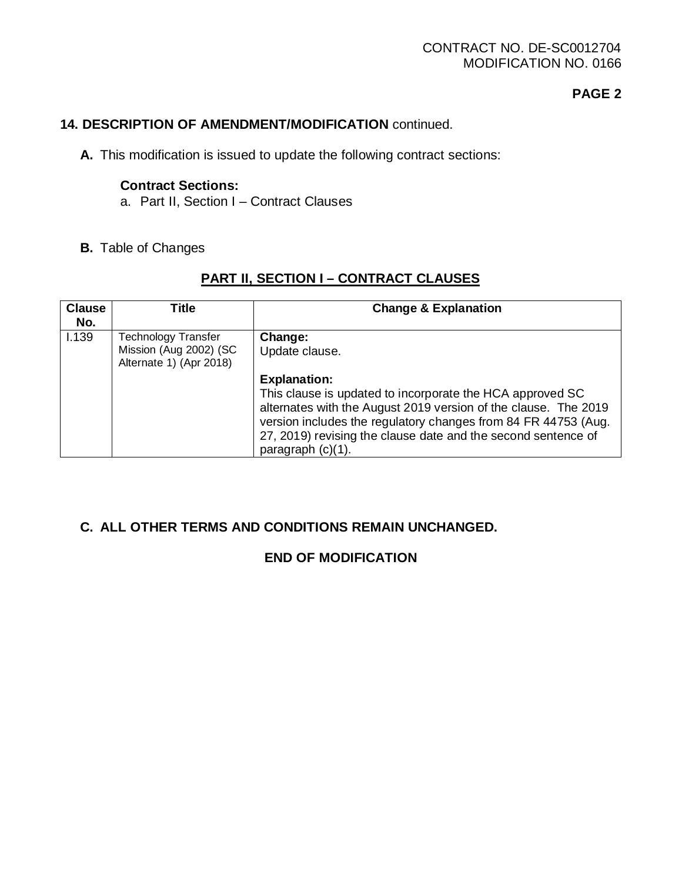### CONTRACT NO. DE-SC0012704 MODIFICATION NO. 0166

## **PAGE 2**

### **14. DESCRIPTION OF AMENDMENT/MODIFICATION** continued.

**A.** This modification is issued to update the following contract sections:

### **Contract Sections:**

- a. Part II, Section I Contract Clauses
- **B.** Table of Changes

# **PART II, SECTION I – CONTRACT CLAUSES**

| <b>Clause</b><br>No. | Title                                                                           | <b>Change &amp; Explanation</b>                                                                                                                                                                                                                                                                                |
|----------------------|---------------------------------------------------------------------------------|----------------------------------------------------------------------------------------------------------------------------------------------------------------------------------------------------------------------------------------------------------------------------------------------------------------|
| 1.139                | <b>Technology Transfer</b><br>Mission (Aug 2002) (SC<br>Alternate 1) (Apr 2018) | Change:<br>Update clause.                                                                                                                                                                                                                                                                                      |
|                      |                                                                                 | <b>Explanation:</b><br>This clause is updated to incorporate the HCA approved SC<br>alternates with the August 2019 version of the clause. The 2019<br>version includes the regulatory changes from 84 FR 44753 (Aug.<br>27, 2019) revising the clause date and the second sentence of<br>paragraph $(c)(1)$ . |

### **C. ALL OTHER TERMS AND CONDITIONS REMAIN UNCHANGED.**

## **END OF MODIFICATION**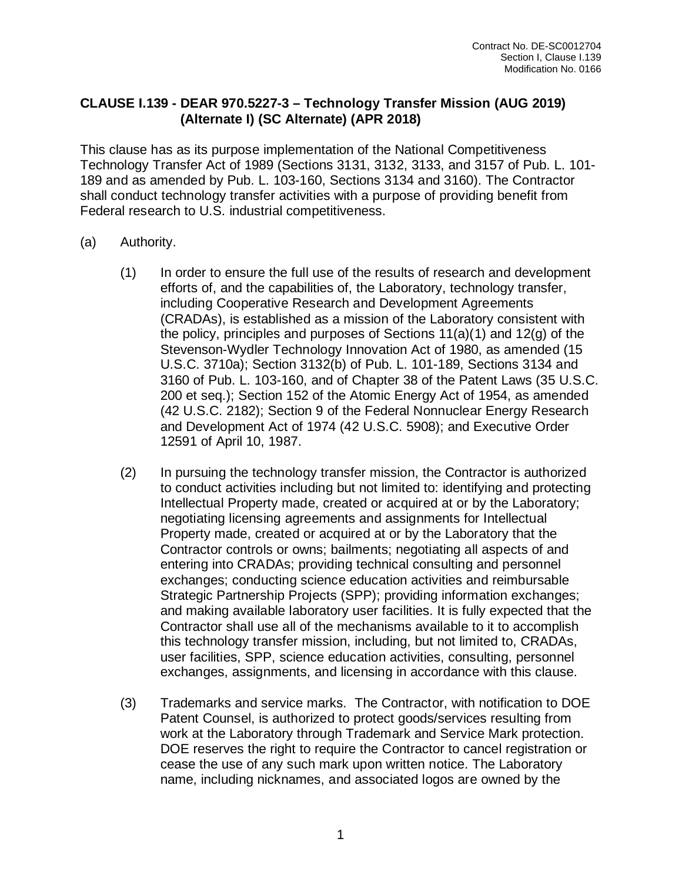### **CLAUSE I.139 - DEAR 970.5227-3 – Technology Transfer Mission (AUG 2019) (Alternate I) (SC Alternate) (APR 2018)**

This clause has as its purpose implementation of the National Competitiveness Technology Transfer Act of 1989 (Sections 3131, 3132, 3133, and 3157 of Pub. L. 101- 189 and as amended by Pub. L. 103-160, Sections 3134 and 3160). The Contractor shall conduct technology transfer activities with a purpose of providing benefit from Federal research to U.S. industrial competitiveness.

- (a) Authority.
	- (1) In order to ensure the full use of the results of research and development efforts of, and the capabilities of, the Laboratory, technology transfer, including Cooperative Research and Development Agreements (CRADAs), is established as a mission of the Laboratory consistent with the policy, principles and purposes of Sections  $11(a)(1)$  and  $12(a)$  of the Stevenson-Wydler Technology Innovation Act of 1980, as amended (15 U.S.C. 3710a); Section 3132(b) of Pub. L. 101-189, Sections 3134 and 3160 of Pub. L. 103-160, and of Chapter 38 of the Patent Laws (35 U.S.C. 200 et seq.); Section 152 of the Atomic Energy Act of 1954, as amended (42 U.S.C. 2182); Section 9 of the Federal Nonnuclear Energy Research and Development Act of 1974 (42 U.S.C. 5908); and Executive Order 12591 of April 10, 1987.
	- (2) In pursuing the technology transfer mission, the Contractor is authorized to conduct activities including but not limited to: identifying and protecting Intellectual Property made, created or acquired at or by the Laboratory; negotiating licensing agreements and assignments for Intellectual Property made, created or acquired at or by the Laboratory that the Contractor controls or owns; bailments; negotiating all aspects of and entering into CRADAs; providing technical consulting and personnel exchanges; conducting science education activities and reimbursable Strategic Partnership Projects (SPP); providing information exchanges; and making available laboratory user facilities. It is fully expected that the Contractor shall use all of the mechanisms available to it to accomplish this technology transfer mission, including, but not limited to, CRADAs, user facilities, SPP, science education activities, consulting, personnel exchanges, assignments, and licensing in accordance with this clause.
	- (3) Trademarks and service marks. The Contractor, with notification to DOE Patent Counsel, is authorized to protect goods/services resulting from work at the Laboratory through Trademark and Service Mark protection. DOE reserves the right to require the Contractor to cancel registration or cease the use of any such mark upon written notice. The Laboratory name, including nicknames, and associated logos are owned by the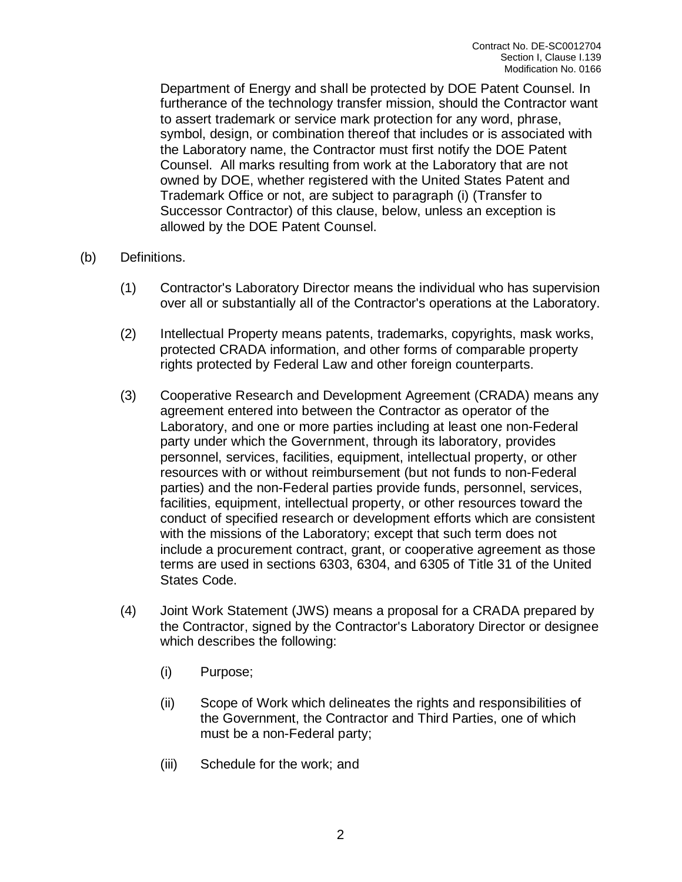Department of Energy and shall be protected by DOE Patent Counsel. In furtherance of the technology transfer mission, should the Contractor want to assert trademark or service mark protection for any word, phrase, symbol, design, or combination thereof that includes or is associated with the Laboratory name, the Contractor must first notify the DOE Patent Counsel. All marks resulting from work at the Laboratory that are not owned by DOE, whether registered with the United States Patent and Trademark Office or not, are subject to paragraph (i) (Transfer to Successor Contractor) of this clause, below, unless an exception is allowed by the DOE Patent Counsel.

- (b) Definitions.
	- (1) Contractor's Laboratory Director means the individual who has supervision over all or substantially all of the Contractor's operations at the Laboratory.
	- (2) Intellectual Property means patents, trademarks, copyrights, mask works, protected CRADA information, and other forms of comparable property rights protected by Federal Law and other foreign counterparts.
	- (3) Cooperative Research and Development Agreement (CRADA) means any agreement entered into between the Contractor as operator of the Laboratory, and one or more parties including at least one non-Federal party under which the Government, through its laboratory, provides personnel, services, facilities, equipment, intellectual property, or other resources with or without reimbursement (but not funds to non-Federal parties) and the non-Federal parties provide funds, personnel, services, facilities, equipment, intellectual property, or other resources toward the conduct of specified research or development efforts which are consistent with the missions of the Laboratory; except that such term does not include a procurement contract, grant, or cooperative agreement as those terms are used in sections 6303, 6304, and 6305 of Title 31 of the United States Code.
	- (4) Joint Work Statement (JWS) means a proposal for a CRADA prepared by the Contractor, signed by the Contractor's Laboratory Director or designee which describes the following:
		- (i) Purpose;
		- (ii) Scope of Work which delineates the rights and responsibilities of the Government, the Contractor and Third Parties, one of which must be a non-Federal party;
		- (iii) Schedule for the work; and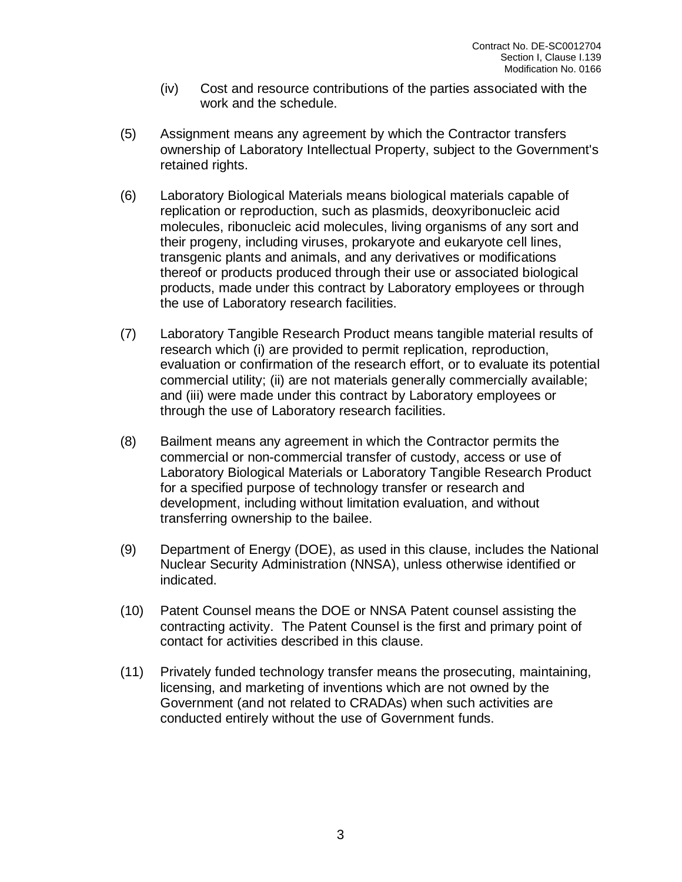- (iv) Cost and resource contributions of the parties associated with the work and the schedule.
- (5) Assignment means any agreement by which the Contractor transfers ownership of Laboratory Intellectual Property, subject to the Government's retained rights.
- (6) Laboratory Biological Materials means biological materials capable of replication or reproduction, such as plasmids, deoxyribonucleic acid molecules, ribonucleic acid molecules, living organisms of any sort and their progeny, including viruses, prokaryote and eukaryote cell lines, transgenic plants and animals, and any derivatives or modifications thereof or products produced through their use or associated biological products, made under this contract by Laboratory employees or through the use of Laboratory research facilities.
- (7) Laboratory Tangible Research Product means tangible material results of research which (i) are provided to permit replication, reproduction, evaluation or confirmation of the research effort, or to evaluate its potential commercial utility; (ii) are not materials generally commercially available; and (iii) were made under this contract by Laboratory employees or through the use of Laboratory research facilities.
- (8) Bailment means any agreement in which the Contractor permits the commercial or non-commercial transfer of custody, access or use of Laboratory Biological Materials or Laboratory Tangible Research Product for a specified purpose of technology transfer or research and development, including without limitation evaluation, and without transferring ownership to the bailee.
- (9) Department of Energy (DOE), as used in this clause, includes the National Nuclear Security Administration (NNSA), unless otherwise identified or indicated.
- (10) Patent Counsel means the DOE or NNSA Patent counsel assisting the contracting activity. The Patent Counsel is the first and primary point of contact for activities described in this clause.
- (11) Privately funded technology transfer means the prosecuting, maintaining, licensing, and marketing of inventions which are not owned by the Government (and not related to CRADAs) when such activities are conducted entirely without the use of Government funds.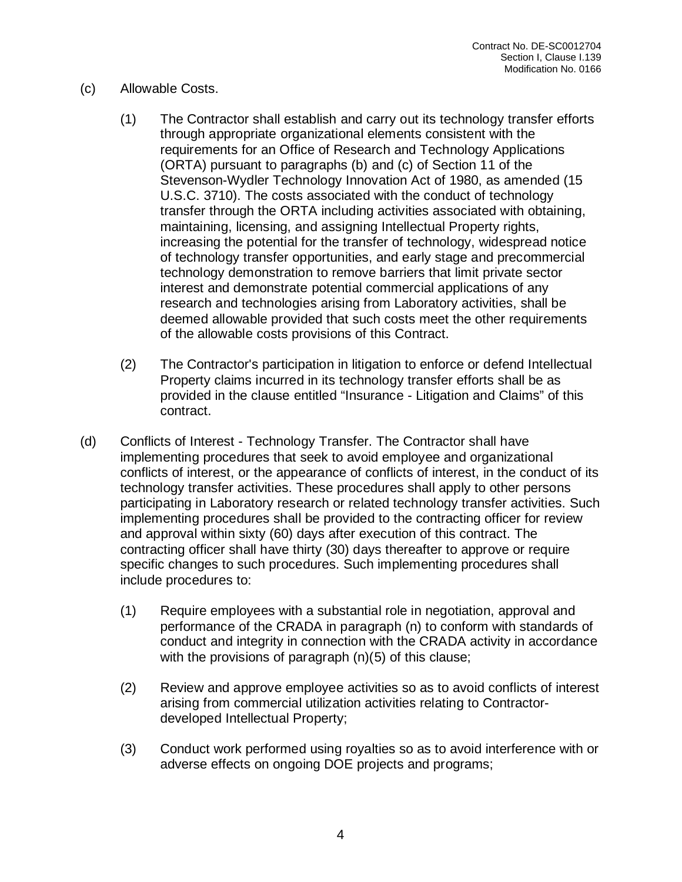## (c) Allowable Costs.

- (1) The Contractor shall establish and carry out its technology transfer efforts through appropriate organizational elements consistent with the requirements for an Office of Research and Technology Applications (ORTA) pursuant to paragraphs (b) and (c) of Section 11 of the Stevenson-Wydler Technology Innovation Act of 1980, as amended (15 U.S.C. 3710). The costs associated with the conduct of technology transfer through the ORTA including activities associated with obtaining, maintaining, licensing, and assigning Intellectual Property rights, increasing the potential for the transfer of technology, widespread notice of technology transfer opportunities, and early stage and precommercial technology demonstration to remove barriers that limit private sector interest and demonstrate potential commercial applications of any research and technologies arising from Laboratory activities, shall be deemed allowable provided that such costs meet the other requirements of the allowable costs provisions of this Contract.
- (2) The Contractor's participation in litigation to enforce or defend Intellectual Property claims incurred in its technology transfer efforts shall be as provided in the clause entitled "Insurance - Litigation and Claims" of this contract.
- (d) Conflicts of Interest Technology Transfer. The Contractor shall have implementing procedures that seek to avoid employee and organizational conflicts of interest, or the appearance of conflicts of interest, in the conduct of its technology transfer activities. These procedures shall apply to other persons participating in Laboratory research or related technology transfer activities. Such implementing procedures shall be provided to the contracting officer for review and approval within sixty (60) days after execution of this contract. The contracting officer shall have thirty (30) days thereafter to approve or require specific changes to such procedures. Such implementing procedures shall include procedures to:
	- (1) Require employees with a substantial role in negotiation, approval and performance of the CRADA in paragraph (n) to conform with standards of conduct and integrity in connection with the CRADA activity in accordance with the provisions of paragraph (n)(5) of this clause;
	- (2) Review and approve employee activities so as to avoid conflicts of interest arising from commercial utilization activities relating to Contractordeveloped Intellectual Property;
	- (3) Conduct work performed using royalties so as to avoid interference with or adverse effects on ongoing DOE projects and programs;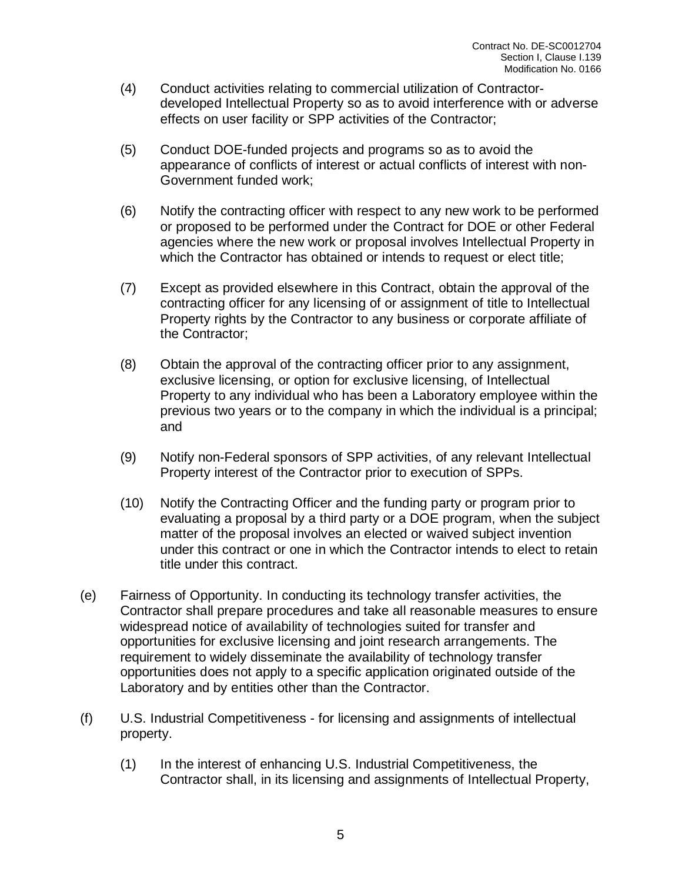- (4) Conduct activities relating to commercial utilization of Contractordeveloped Intellectual Property so as to avoid interference with or adverse effects on user facility or SPP activities of the Contractor;
- (5) Conduct DOE-funded projects and programs so as to avoid the appearance of conflicts of interest or actual conflicts of interest with non-Government funded work;
- (6) Notify the contracting officer with respect to any new work to be performed or proposed to be performed under the Contract for DOE or other Federal agencies where the new work or proposal involves Intellectual Property in which the Contractor has obtained or intends to request or elect title;
- (7) Except as provided elsewhere in this Contract, obtain the approval of the contracting officer for any licensing of or assignment of title to Intellectual Property rights by the Contractor to any business or corporate affiliate of the Contractor;
- (8) Obtain the approval of the contracting officer prior to any assignment, exclusive licensing, or option for exclusive licensing, of Intellectual Property to any individual who has been a Laboratory employee within the previous two years or to the company in which the individual is a principal; and
- (9) Notify non-Federal sponsors of SPP activities, of any relevant Intellectual Property interest of the Contractor prior to execution of SPPs.
- (10) Notify the Contracting Officer and the funding party or program prior to evaluating a proposal by a third party or a DOE program, when the subject matter of the proposal involves an elected or waived subject invention under this contract or one in which the Contractor intends to elect to retain title under this contract.
- (e) Fairness of Opportunity. In conducting its technology transfer activities, the Contractor shall prepare procedures and take all reasonable measures to ensure widespread notice of availability of technologies suited for transfer and opportunities for exclusive licensing and joint research arrangements. The requirement to widely disseminate the availability of technology transfer opportunities does not apply to a specific application originated outside of the Laboratory and by entities other than the Contractor.
- (f) U.S. Industrial Competitiveness for licensing and assignments of intellectual property.
	- (1) In the interest of enhancing U.S. Industrial Competitiveness, the Contractor shall, in its licensing and assignments of Intellectual Property,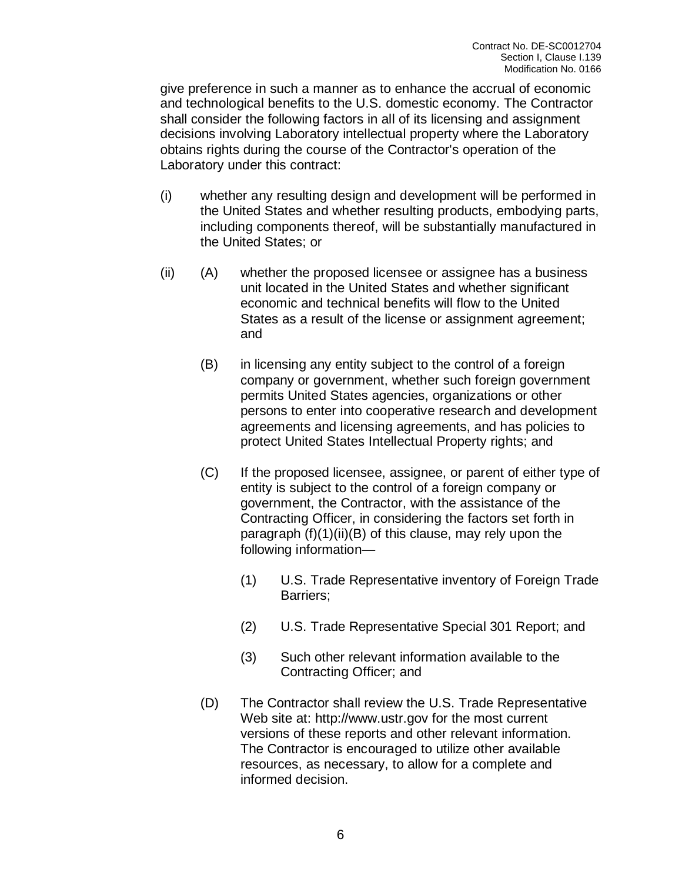give preference in such a manner as to enhance the accrual of economic and technological benefits to the U.S. domestic economy. The Contractor shall consider the following factors in all of its licensing and assignment decisions involving Laboratory intellectual property where the Laboratory obtains rights during the course of the Contractor's operation of the Laboratory under this contract:

- (i) whether any resulting design and development will be performed in the United States and whether resulting products, embodying parts, including components thereof, will be substantially manufactured in the United States; or
- (ii) (A) whether the proposed licensee or assignee has a business unit located in the United States and whether significant economic and technical benefits will flow to the United States as a result of the license or assignment agreement; and
	- (B) in licensing any entity subject to the control of a foreign company or government, whether such foreign government permits United States agencies, organizations or other persons to enter into cooperative research and development agreements and licensing agreements, and has policies to protect United States Intellectual Property rights; and
	- (C) If the proposed licensee, assignee, or parent of either type of entity is subject to the control of a foreign company or government, the Contractor, with the assistance of the Contracting Officer, in considering the factors set forth in paragraph (f)(1)(ii)(B) of this clause, may rely upon the following information—
		- (1) U.S. Trade Representative inventory of Foreign Trade Barriers;
		- (2) U.S. Trade Representative Special 301 Report; and
		- (3) Such other relevant information available to the Contracting Officer; and
	- (D) The Contractor shall review the U.S. Trade Representative Web site at: http://www.ustr.gov for the most current versions of these reports and other relevant information. The Contractor is encouraged to utilize other available resources, as necessary, to allow for a complete and informed decision.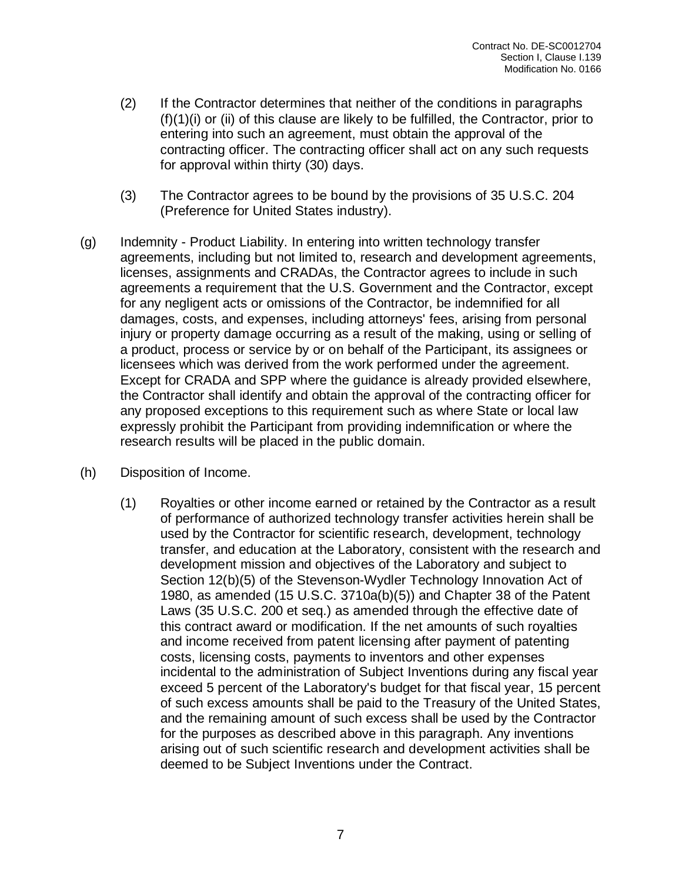- (2) If the Contractor determines that neither of the conditions in paragraphs (f)(1)(i) or (ii) of this clause are likely to be fulfilled, the Contractor, prior to entering into such an agreement, must obtain the approval of the contracting officer. The contracting officer shall act on any such requests for approval within thirty (30) days.
- (3) The Contractor agrees to be bound by the provisions of 35 U.S.C. 204 (Preference for United States industry).
- (g) Indemnity Product Liability. In entering into written technology transfer agreements, including but not limited to, research and development agreements, licenses, assignments and CRADAs, the Contractor agrees to include in such agreements a requirement that the U.S. Government and the Contractor, except for any negligent acts or omissions of the Contractor, be indemnified for all damages, costs, and expenses, including attorneys' fees, arising from personal injury or property damage occurring as a result of the making, using or selling of a product, process or service by or on behalf of the Participant, its assignees or licensees which was derived from the work performed under the agreement. Except for CRADA and SPP where the guidance is already provided elsewhere, the Contractor shall identify and obtain the approval of the contracting officer for any proposed exceptions to this requirement such as where State or local law expressly prohibit the Participant from providing indemnification or where the research results will be placed in the public domain.
- (h) Disposition of Income.
	- (1) Royalties or other income earned or retained by the Contractor as a result of performance of authorized technology transfer activities herein shall be used by the Contractor for scientific research, development, technology transfer, and education at the Laboratory, consistent with the research and development mission and objectives of the Laboratory and subject to Section 12(b)(5) of the Stevenson-Wydler Technology Innovation Act of 1980, as amended (15 U.S.C. 3710a(b)(5)) and Chapter 38 of the Patent Laws (35 U.S.C. 200 et seq.) as amended through the effective date of this contract award or modification. If the net amounts of such royalties and income received from patent licensing after payment of patenting costs, licensing costs, payments to inventors and other expenses incidental to the administration of Subject Inventions during any fiscal year exceed 5 percent of the Laboratory's budget for that fiscal year, 15 percent of such excess amounts shall be paid to the Treasury of the United States, and the remaining amount of such excess shall be used by the Contractor for the purposes as described above in this paragraph. Any inventions arising out of such scientific research and development activities shall be deemed to be Subject Inventions under the Contract.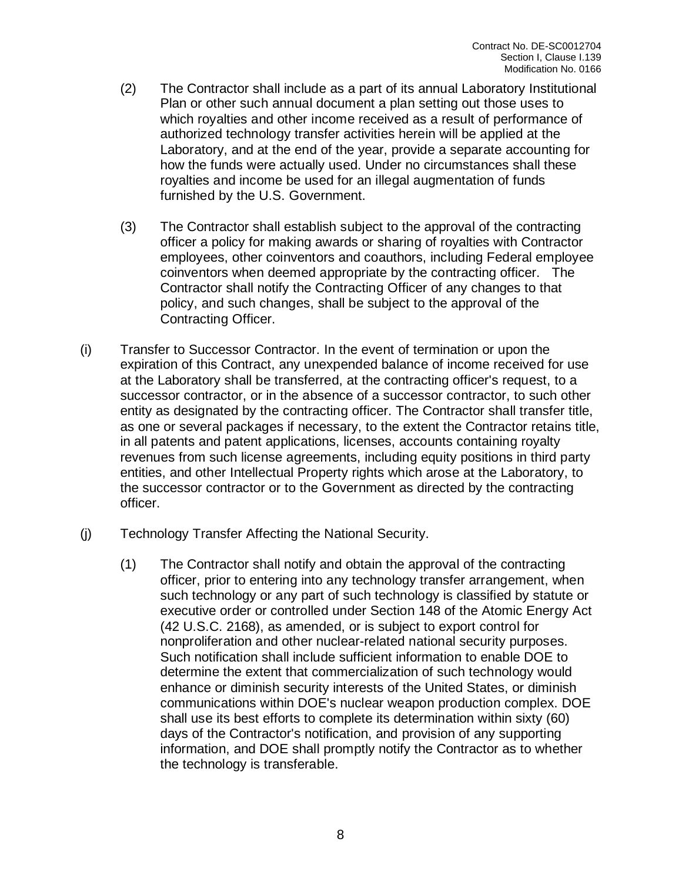- (2) The Contractor shall include as a part of its annual Laboratory Institutional Plan or other such annual document a plan setting out those uses to which royalties and other income received as a result of performance of authorized technology transfer activities herein will be applied at the Laboratory, and at the end of the year, provide a separate accounting for how the funds were actually used. Under no circumstances shall these royalties and income be used for an illegal augmentation of funds furnished by the U.S. Government.
- (3) The Contractor shall establish subject to the approval of the contracting officer a policy for making awards or sharing of royalties with Contractor employees, other coinventors and coauthors, including Federal employee coinventors when deemed appropriate by the contracting officer. The Contractor shall notify the Contracting Officer of any changes to that policy, and such changes, shall be subject to the approval of the Contracting Officer.
- (i) Transfer to Successor Contractor. In the event of termination or upon the expiration of this Contract, any unexpended balance of income received for use at the Laboratory shall be transferred, at the contracting officer's request, to a successor contractor, or in the absence of a successor contractor, to such other entity as designated by the contracting officer. The Contractor shall transfer title, as one or several packages if necessary, to the extent the Contractor retains title, in all patents and patent applications, licenses, accounts containing royalty revenues from such license agreements, including equity positions in third party entities, and other Intellectual Property rights which arose at the Laboratory, to the successor contractor or to the Government as directed by the contracting officer.
- (j) Technology Transfer Affecting the National Security.
	- (1) The Contractor shall notify and obtain the approval of the contracting officer, prior to entering into any technology transfer arrangement, when such technology or any part of such technology is classified by statute or executive order or controlled under Section 148 of the Atomic Energy Act (42 U.S.C. 2168), as amended, or is subject to export control for nonproliferation and other nuclear-related national security purposes. Such notification shall include sufficient information to enable DOE to determine the extent that commercialization of such technology would enhance or diminish security interests of the United States, or diminish communications within DOE's nuclear weapon production complex. DOE shall use its best efforts to complete its determination within sixty (60) days of the Contractor's notification, and provision of any supporting information, and DOE shall promptly notify the Contractor as to whether the technology is transferable.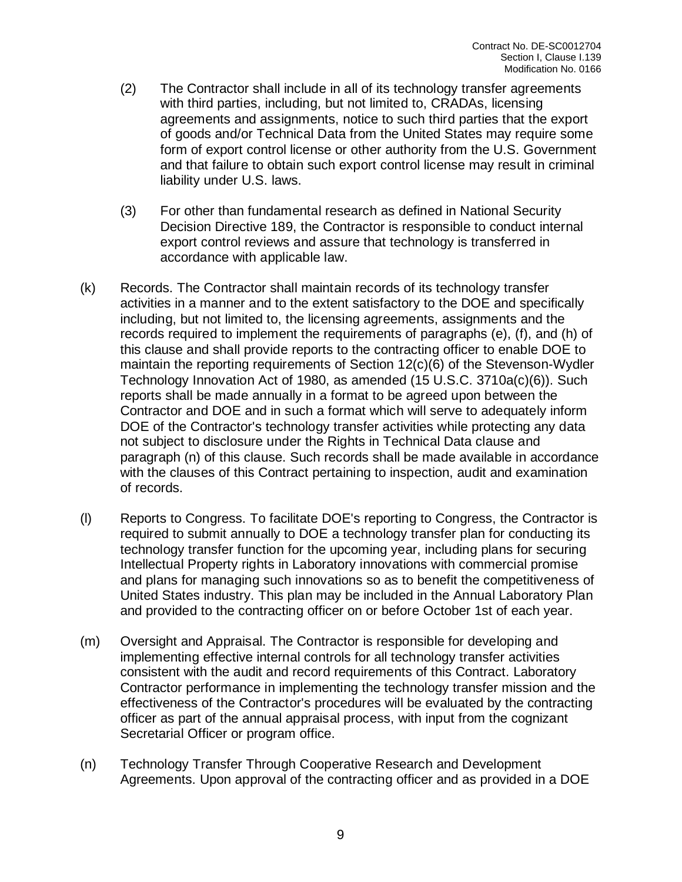- (2) The Contractor shall include in all of its technology transfer agreements with third parties, including, but not limited to, CRADAs, licensing agreements and assignments, notice to such third parties that the export of goods and/or Technical Data from the United States may require some form of export control license or other authority from the U.S. Government and that failure to obtain such export control license may result in criminal liability under U.S. laws.
- (3) For other than fundamental research as defined in National Security Decision Directive 189, the Contractor is responsible to conduct internal export control reviews and assure that technology is transferred in accordance with applicable law.
- (k) Records. The Contractor shall maintain records of its technology transfer activities in a manner and to the extent satisfactory to the DOE and specifically including, but not limited to, the licensing agreements, assignments and the records required to implement the requirements of paragraphs (e), (f), and (h) of this clause and shall provide reports to the contracting officer to enable DOE to maintain the reporting requirements of Section 12(c)(6) of the Stevenson-Wydler Technology Innovation Act of 1980, as amended (15 U.S.C. 3710a(c)(6)). Such reports shall be made annually in a format to be agreed upon between the Contractor and DOE and in such a format which will serve to adequately inform DOE of the Contractor's technology transfer activities while protecting any data not subject to disclosure under the Rights in Technical Data clause and paragraph (n) of this clause. Such records shall be made available in accordance with the clauses of this Contract pertaining to inspection, audit and examination of records.
- (l) Reports to Congress. To facilitate DOE's reporting to Congress, the Contractor is required to submit annually to DOE a technology transfer plan for conducting its technology transfer function for the upcoming year, including plans for securing Intellectual Property rights in Laboratory innovations with commercial promise and plans for managing such innovations so as to benefit the competitiveness of United States industry. This plan may be included in the Annual Laboratory Plan and provided to the contracting officer on or before October 1st of each year.
- (m) Oversight and Appraisal. The Contractor is responsible for developing and implementing effective internal controls for all technology transfer activities consistent with the audit and record requirements of this Contract. Laboratory Contractor performance in implementing the technology transfer mission and the effectiveness of the Contractor's procedures will be evaluated by the contracting officer as part of the annual appraisal process, with input from the cognizant Secretarial Officer or program office.
- (n) Technology Transfer Through Cooperative Research and Development Agreements. Upon approval of the contracting officer and as provided in a DOE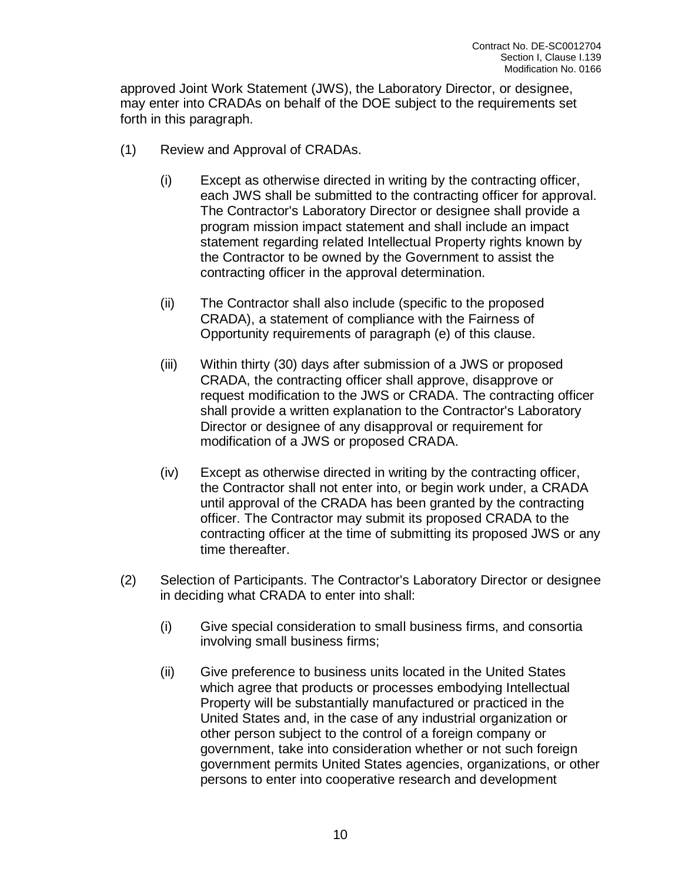approved Joint Work Statement (JWS), the Laboratory Director, or designee, may enter into CRADAs on behalf of the DOE subject to the requirements set forth in this paragraph.

- (1) Review and Approval of CRADAs.
	- (i) Except as otherwise directed in writing by the contracting officer, each JWS shall be submitted to the contracting officer for approval. The Contractor's Laboratory Director or designee shall provide a program mission impact statement and shall include an impact statement regarding related Intellectual Property rights known by the Contractor to be owned by the Government to assist the contracting officer in the approval determination.
	- (ii) The Contractor shall also include (specific to the proposed CRADA), a statement of compliance with the Fairness of Opportunity requirements of paragraph (e) of this clause.
	- (iii) Within thirty (30) days after submission of a JWS or proposed CRADA, the contracting officer shall approve, disapprove or request modification to the JWS or CRADA. The contracting officer shall provide a written explanation to the Contractor's Laboratory Director or designee of any disapproval or requirement for modification of a JWS or proposed CRADA.
	- (iv) Except as otherwise directed in writing by the contracting officer, the Contractor shall not enter into, or begin work under, a CRADA until approval of the CRADA has been granted by the contracting officer. The Contractor may submit its proposed CRADA to the contracting officer at the time of submitting its proposed JWS or any time thereafter.
- (2) Selection of Participants. The Contractor's Laboratory Director or designee in deciding what CRADA to enter into shall:
	- (i) Give special consideration to small business firms, and consortia involving small business firms;
	- (ii) Give preference to business units located in the United States which agree that products or processes embodying Intellectual Property will be substantially manufactured or practiced in the United States and, in the case of any industrial organization or other person subject to the control of a foreign company or government, take into consideration whether or not such foreign government permits United States agencies, organizations, or other persons to enter into cooperative research and development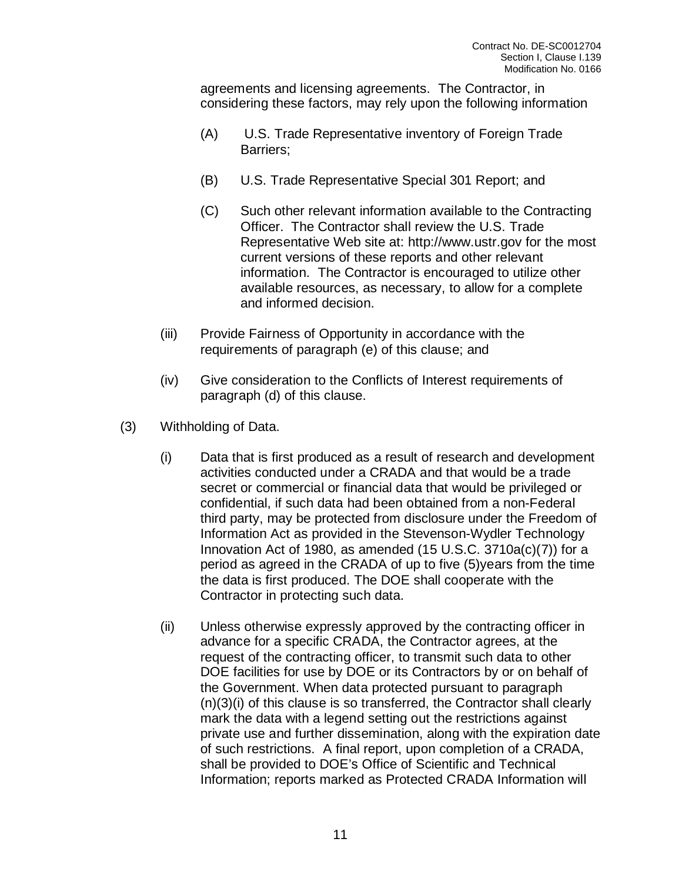agreements and licensing agreements. The Contractor, in considering these factors, may rely upon the following information

- (A) U.S. Trade Representative inventory of Foreign Trade Barriers;
- (B) U.S. Trade Representative Special 301 Report; and
- (C) Such other relevant information available to the Contracting Officer. The Contractor shall review the U.S. Trade Representative Web site at: http://www.ustr.gov for the most current versions of these reports and other relevant information. The Contractor is encouraged to utilize other available resources, as necessary, to allow for a complete and informed decision.
- (iii) Provide Fairness of Opportunity in accordance with the requirements of paragraph (e) of this clause; and
- (iv) Give consideration to the Conflicts of Interest requirements of paragraph (d) of this clause.
- (3) Withholding of Data.
	- (i) Data that is first produced as a result of research and development activities conducted under a CRADA and that would be a trade secret or commercial or financial data that would be privileged or confidential, if such data had been obtained from a non-Federal third party, may be protected from disclosure under the Freedom of Information Act as provided in the Stevenson-Wydler Technology Innovation Act of 1980, as amended (15 U.S.C. 3710a(c)(7)) for a period as agreed in the CRADA of up to five (5)years from the time the data is first produced. The DOE shall cooperate with the Contractor in protecting such data.
	- (ii) Unless otherwise expressly approved by the contracting officer in advance for a specific CRADA, the Contractor agrees, at the request of the contracting officer, to transmit such data to other DOE facilities for use by DOE or its Contractors by or on behalf of the Government. When data protected pursuant to paragraph (n)(3)(i) of this clause is so transferred, the Contractor shall clearly mark the data with a legend setting out the restrictions against private use and further dissemination, along with the expiration date of such restrictions. A final report, upon completion of a CRADA, shall be provided to DOE's Office of Scientific and Technical Information; reports marked as Protected CRADA Information will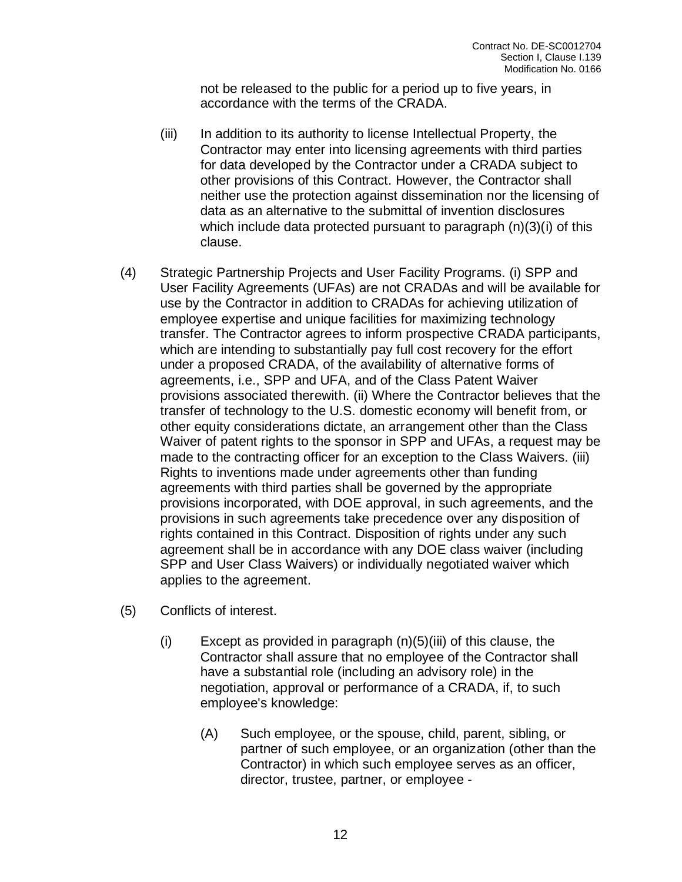not be released to the public for a period up to five years, in accordance with the terms of the CRADA.

- (iii) In addition to its authority to license Intellectual Property, the Contractor may enter into licensing agreements with third parties for data developed by the Contractor under a CRADA subject to other provisions of this Contract. However, the Contractor shall neither use the protection against dissemination nor the licensing of data as an alternative to the submittal of invention disclosures which include data protected pursuant to paragraph (n)(3)(i) of this clause.
- (4) Strategic Partnership Projects and User Facility Programs. (i) SPP and User Facility Agreements (UFAs) are not CRADAs and will be available for use by the Contractor in addition to CRADAs for achieving utilization of employee expertise and unique facilities for maximizing technology transfer. The Contractor agrees to inform prospective CRADA participants, which are intending to substantially pay full cost recovery for the effort under a proposed CRADA, of the availability of alternative forms of agreements, i.e., SPP and UFA, and of the Class Patent Waiver provisions associated therewith. (ii) Where the Contractor believes that the transfer of technology to the U.S. domestic economy will benefit from, or other equity considerations dictate, an arrangement other than the Class Waiver of patent rights to the sponsor in SPP and UFAs, a request may be made to the contracting officer for an exception to the Class Waivers. (iii) Rights to inventions made under agreements other than funding agreements with third parties shall be governed by the appropriate provisions incorporated, with DOE approval, in such agreements, and the provisions in such agreements take precedence over any disposition of rights contained in this Contract. Disposition of rights under any such agreement shall be in accordance with any DOE class waiver (including SPP and User Class Waivers) or individually negotiated waiver which applies to the agreement.
- (5) Conflicts of interest.
	- $(i)$  Except as provided in paragraph  $(n)(5)(iii)$  of this clause, the Contractor shall assure that no employee of the Contractor shall have a substantial role (including an advisory role) in the negotiation, approval or performance of a CRADA, if, to such employee's knowledge:
		- (A) Such employee, or the spouse, child, parent, sibling, or partner of such employee, or an organization (other than the Contractor) in which such employee serves as an officer, director, trustee, partner, or employee -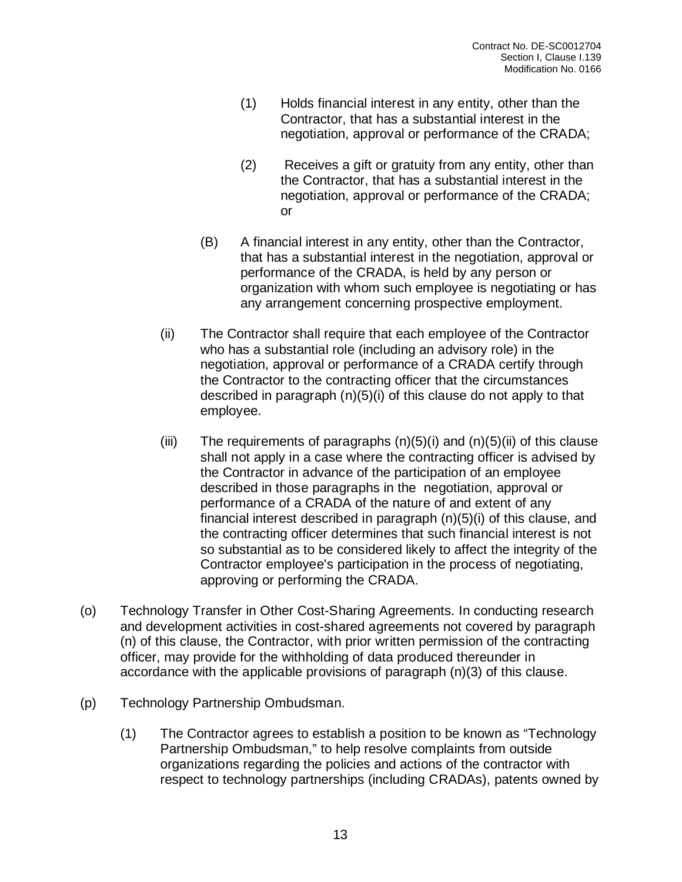- (1) Holds financial interest in any entity, other than the Contractor, that has a substantial interest in the negotiation, approval or performance of the CRADA;
- (2) Receives a gift or gratuity from any entity, other than the Contractor, that has a substantial interest in the negotiation, approval or performance of the CRADA; or
- (B) A financial interest in any entity, other than the Contractor, that has a substantial interest in the negotiation, approval or performance of the CRADA, is held by any person or organization with whom such employee is negotiating or has any arrangement concerning prospective employment.
- (ii) The Contractor shall require that each employee of the Contractor who has a substantial role (including an advisory role) in the negotiation, approval or performance of a CRADA certify through the Contractor to the contracting officer that the circumstances described in paragraph (n)(5)(i) of this clause do not apply to that employee.
- (iii) The requirements of paragraphs  $(n)(5)(i)$  and  $(n)(5)(ii)$  of this clause shall not apply in a case where the contracting officer is advised by the Contractor in advance of the participation of an employee described in those paragraphs in the negotiation, approval or performance of a CRADA of the nature of and extent of any financial interest described in paragraph (n)(5)(i) of this clause, and the contracting officer determines that such financial interest is not so substantial as to be considered likely to affect the integrity of the Contractor employee's participation in the process of negotiating, approving or performing the CRADA.
- (o) Technology Transfer in Other Cost-Sharing Agreements. In conducting research and development activities in cost-shared agreements not covered by paragraph (n) of this clause, the Contractor, with prior written permission of the contracting officer, may provide for the withholding of data produced thereunder in accordance with the applicable provisions of paragraph (n)(3) of this clause.
- (p) Technology Partnership Ombudsman.
	- (1) The Contractor agrees to establish a position to be known as "Technology Partnership Ombudsman," to help resolve complaints from outside organizations regarding the policies and actions of the contractor with respect to technology partnerships (including CRADAs), patents owned by